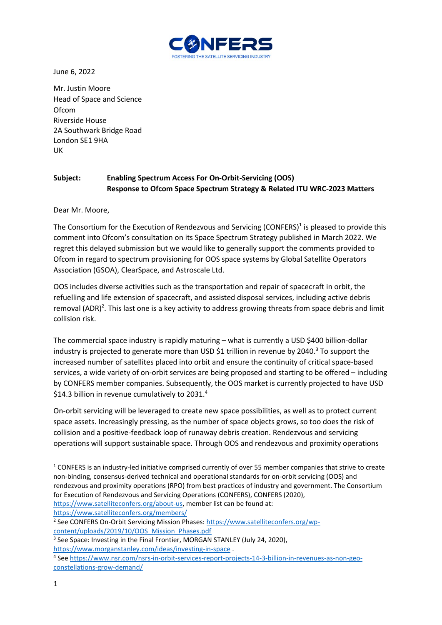

June 6, 2022

Mr. Justin Moore Head of Space and Science Ofcom Riverside House 2A Southwark Bridge Road London SE1 9HA UK

## **Subject: Enabling Spectrum Access For On-Orbit-Servicing (OOS) Response to Ofcom Space Spectrum Strategy & Related ITU WRC-2023 Matters**

Dear Mr. Moore,

The Consortium for the Execution of Rendezvous and Servicing (CONFERS)<sup>1</sup> is pleased to provide this comment into Ofcom's consultation on its Space Spectrum Strategy published in March 2022. We regret this delayed submission but we would like to generally support the comments provided to Ofcom in regard to spectrum provisioning for OOS space systems by Global Satellite Operators Association (GSOA), ClearSpace, and Astroscale Ltd.

OOS includes diverse activities such as the transportation and repair of spacecraft in orbit, the refuelling and life extension of spacecraft, and assisted disposal services, including active debris removal (ADR)<sup>2</sup>. This last one is a key activity to address growing threats from space debris and limit collision risk.

The commercial space industry is rapidly maturing – what is currently a USD \$400 billion-dollar industry is projected to generate more than USD \$1 trillion in revenue by 2040.<sup>3</sup> To support the increased number of satellites placed into orbit and ensure the continuity of critical space-based services, a wide variety of on-orbit services are being proposed and starting to be offered – including by CONFERS member companies. Subsequently, the OOS market is currently projected to have USD \$14.3 billion in revenue cumulatively to 2031.<sup>4</sup>

On-orbit servicing will be leveraged to create new space possibilities, as well as to protect current space assets. Increasingly pressing, as the number of space objects grows, so too does the risk of collision and a positive-feedback loop of runaway debris creation. Rendezvous and servicing operations will support sustainable space. Through OOS and rendezvous and proximity operations

<https://www.satelliteconfers.org/members/>

<sup>2</sup> See CONFERS On-Orbit Servicing Mission Phases: [https://www.satelliteconfers.org/wp](https://www.satelliteconfers.org/wp-content/uploads/2019/10/OOS_Mission_Phases.pdf)[content/uploads/2019/10/OOS\\_Mission\\_Phases.pdf](https://www.satelliteconfers.org/wp-content/uploads/2019/10/OOS_Mission_Phases.pdf)

<sup>3</sup> See Space: Investing in the Final Frontier, MORGAN STANLEY (July 24, 2020), <https://www.morganstanley.com/ideas/investing-in-space> .

 $1$  CONFERS is an industry-led initiative comprised currently of over 55 member companies that strive to create non-binding, consensus-derived technical and operational standards for on-orbit servicing (OOS) and rendezvous and proximity operations (RPO) from best practices of industry and government. The Consortium for Execution of Rendezvous and Servicing Operations (CONFERS), CONFERS (2020), [https://www.satelliteconfers.org/about-us,](https://www.satelliteconfers.org/about-us) member list can be found at:

<sup>4</sup> See [https://www.nsr.com/nsrs-in-orbit-services-report-projects-14-3-billion-in-revenues-as-non-geo](https://www.nsr.com/nsrs-in-orbit-services-report-projects-14-3-billion-in-revenues-as-non-geo-constellations-grow-demand/)[constellations-grow-demand/](https://www.nsr.com/nsrs-in-orbit-services-report-projects-14-3-billion-in-revenues-as-non-geo-constellations-grow-demand/)